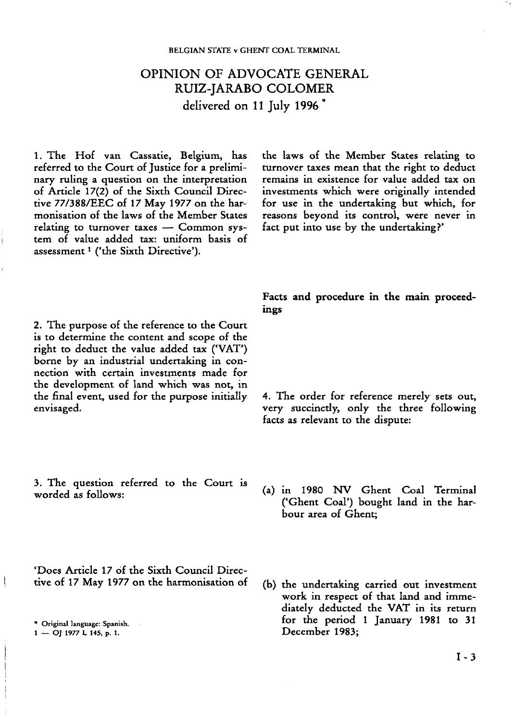## **OPINION OF ADVOCATE GENERAL RUIZ-JARABO COLOMER delivered on 11 July 1996\***

1. The Hof van Cassatie, Belgium, has referred to the Court of Justice for a preliminary ruling a question on the interpretation of Article 17(2) of the Sixth Council Directive 77/388/EEC of 17 May 1977 on the harmonisation of the laws of the Member States relating to turnover taxes — Common system of value added tax: uniform basis of assessment<sup>1</sup> ('the Sixth Directive').

2. The purpose of the reference to the Court is to determine the content and scope of the right to deduct the value added tax ('VAT') borne by an industrial undertaking in connection with certain investments made for the development of land which was not, in the final event, used for the purpose initially envisaged.

3. The question referred to the Court is worded as follows:

'Does Article 17 of the Sixth Council Directive of 17 May 1977 on the harmonisation of

the laws of the Member States relating to turnover taxes mean that the right to deduct remains in existence for value added tax on investments which were originally intended for use in the undertaking but which, for reasons beyond its control, were never in fact put into use by the undertaking?'

**Facts and procedure in the main proceedings**

4. The order for reference merely sets out, very succinctly, only the three following facts as relevant to the dispute:

- (a) in 1980 NV Ghent Coal Terminal ('Ghent Coal') bought land in the harbour area of Ghent;
- (b) the undertaking carried out investment work in respect of that land and immediately deducted the VAT in its return for the period 1 January 1981 to 31 December 1983;

<sup>\*</sup> Original language: Spanish.

<sup>1</sup> — OJ 1977 L 145, p. 1.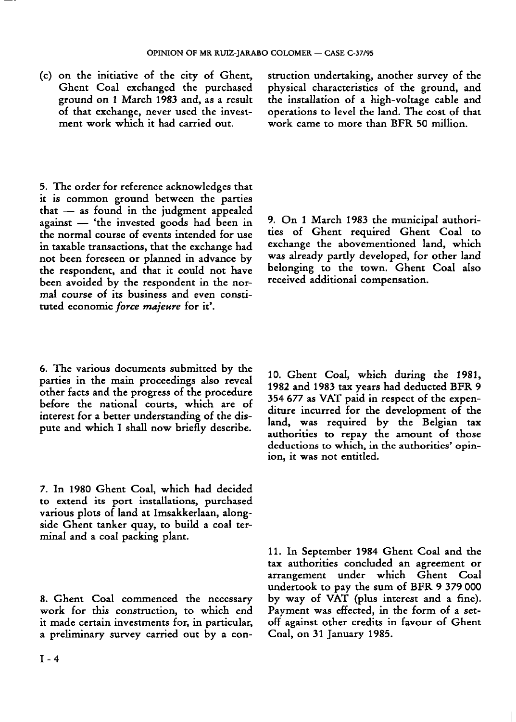(c) on the initiative of the city of Ghent, Ghent Coal exchanged the purchased ground on 1 March 1983 and, as a result of that exchange, never used the investment work which it had carried out.

5. The order for reference acknowledges that it is common ground between the parties that — as found in the judgment appealed against — 'the invested goods had been in the normal course of events intended for use in taxable transactions, that the exchange had not been foreseen or planned in advance by the respondent, and that it could not have been avoided by the respondent in the normal course of its business and even constituted economic *force majeure* for it'.

6. The various documents submitted by the parties in the main proceedings also reveal other facts and the progress of the procedure before the national courts, which are of interest for a better understanding of the dispute and which I shall now briefly describe.

7. In 1980 Ghent Coal, which had decided to extend its port installations, purchased various plots of land at Imsakkerlaan, alongside Ghent tanker quay, to build a coal terminal and a coal packing plant.

8. Ghent Coal commenced the necessary work for this construction, to which end it made certain investments for, in particular, a preliminary survey carried out by a construction undertaking, another survey of the physical characteristics of the ground, and the installation of a high-voltage cable and operations to level the land. The cost of that work came to more than BFR 50 million.

9. On 1 March 1983 the municipal authorities of Ghent required Ghent Coal to exchange the abovementioned land, which was already partly developed, for other land belonging to the town. Ghent Coal also received additional compensation.

10. Ghent Coal, which during the 1981, 1982 and 1983 tax years had deducted BFR 9 354 677 as VAT paid in respect of the expenditure incurred for the development of the land, was required by the Belgian tax authorities to repay the amount of those deductions to which, in the authorities' opinion, it was not entitled.

11. In September 1984 Ghent Coal and the tax authorities concluded an agreement or arrangement under which Ghent Coal undertook to pay the sum of BFR 9 379 000 by way of VAT (plus interest and a fine). Payment was effected, in the form of a setoff against other credits in favour of Ghent Coal, on 31 January 1985.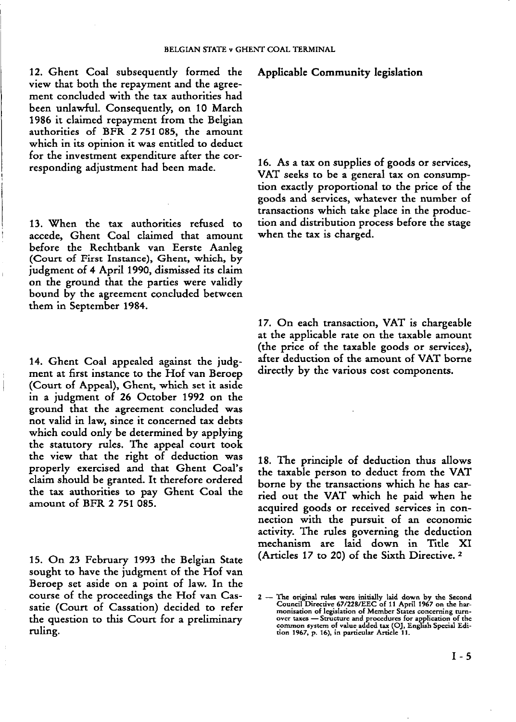12. Ghent Coal subsequently formed the view that both the repayment and the agreement concluded with the tax authorities had been unlawful. Consequently, on 10 March 1986 it claimed repayment from the Belgian authorities of BFR 2 751 085, the amount which in its opinion it was entitled to deduct for the investment expenditure after the corresponding adjustment had been made.

13. When the tax authorities refused to accede, Ghent Coal claimed that amount before the Rechtbank van Eerste Aanleg (Court of First Instance), Ghent, which, by judgment of 4 April 1990, dismissed its claim on the ground that the parties were validly bound by the agreement concluded between them in September 1984.

14. Ghent Coal appealed against the judgment at first instance to the Hof van Beroep (Court of Appeal), Ghent, which set it aside in a judgment of 26 October 1992 on the ground that the agreement concluded was not valid in law, since it concerned tax debts which could only be determined by applying the statutory rules. The appeal court took the view that the right of deduction was properly exercised and that Ghent Coal's claim should be granted. It therefore ordered the tax authorities to pay Ghent Coal the amount of BFR 2 751 085.

15. On 23 February 1993 the Belgian State sought to have the judgment of the Hof van Beroep set aside on a point of law. In the course of the proceedings the Hof van Cassatie (Court of Cassation) decided to refer the question to this Court for a preliminary ruling.

## **Applicable Community legislation**

16. As a tax on supplies of goods or services, VAT seeks to be a general tax on consumption exactly proportional to the price of the goods and services, whatever the number of transactions which take place in the production and distribution process before the stage when the tax is charged.

17. On each transaction, VAT is chargeable at the applicable rate on the taxable amount (the price of the taxable goods or services), after deduction of the amount of VAT borne directly by the various cost components.

18. The principle of deduction thus allows the taxable person to deduct from the VAT borne by the transactions which he has carried out the VAT which he paid when he acquired goods or received services in connection with the pursuit of an economic activity. The rules governing the deduction mechanism are laid down in Title XI (Articles 17 to 20) of the Sixth Directive. 2

<sup>2</sup> — The original rules were initially laid down by the Second Council Directive 67/228/EEC of 11 April 1967 on the harmonisation of legislation of Member States concerning turnover taxes — Structure and procedures for application of the common system of value added tax (OJ, English Special Edition 1967, p. 16), in particular Article 11.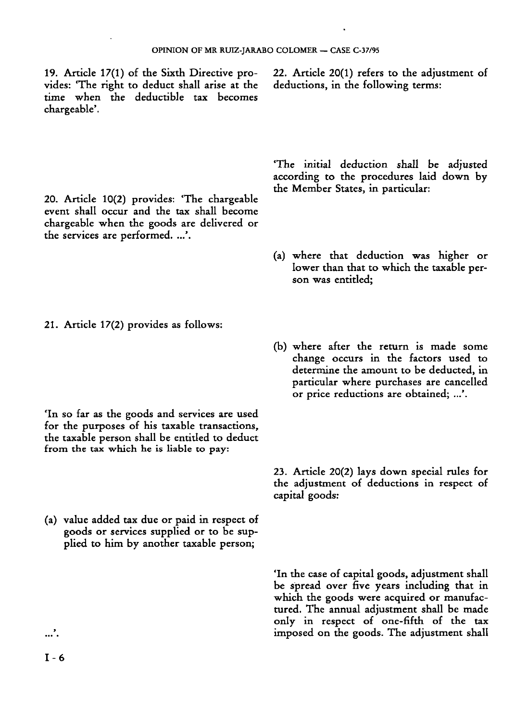19. Article 17(1) of the Sixth Directive provides: 'The right to deduct shall arise at the time when the deductible tax becomes chargeable'.

20. Article 10(2) provides: 'The chargeable event shall occur and the tax shall become chargeable when the goods are delivered or the services are performed. ...'.

deductions, in the following terms:

22. Article 20(1) refers to the adjustment of

'The initial deduction shall be adjusted according to the procedures laid down by the Member States, in particular:

- (a) where that deduction was higher or lower than that to which the taxable person was entitled;
- 21. Article 17(2) provides as follows:

- 'In so far as the goods and services are used for the purposes of his taxable transactions, the taxable person shall be entitled to deduct from the tax which he is liable to pay:
- (a) value added tax due or paid in respect of goods or services supplied or to be supplied to him by another taxable person;

(b) where after the return is made some change occurs in the factors used to determine the amount to be deducted, in particular where purchases are cancelled or price reductions are obtained; ...'.

23. Article 20(2) lays down special rules for the adjustment of deductions in respect of capital goods:

'In the case of capital goods, adjustment shall be spread over five years including that in which the goods were acquired or manufactured. The annual adjustment shall be made only in respect of one-fifth of the tax imposed on the goods. The adjustment shall

*...*`.  $I - 6$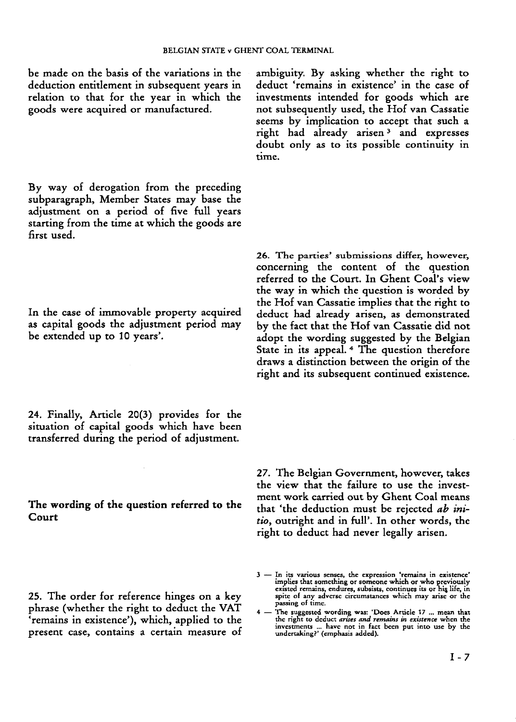be made on the basis of the variations in the deduction entitlement in subsequent years in relation to that for the year in which the goods were acquired or manufactured.

By way of derogation from the preceding subparagraph, Member States may base the adjustment on a period of five full years starting from the time at which the goods are first used.

In the case of immovable property acquired as capital goods the adjustment period may be extended up to 10 years'.

24. Finally, Article 20(3) provides for the situation of capital goods which have been transferred during the period of adjustment.

**The wording of the question referred to the Court**

25. The order for reference hinges on a key phrase (whether the right to deduct the VAT 'remains in existence'), which, applied to the present case, contains a certain measure of ambiguity. By asking whether the right to deduct 'remains in existence' in the case of investments intended for goods which are not subsequently used, the Hof van Cassatie seems by implication to accept that such a right had already arisen 3 and expresses doubt only as to its possible continuity in time.

26. The parties' submissions differ, however, concerning the content of the question referred to the Court. In Ghent Coal's view the way in which the question is worded by the Hof van Cassatie implies that the right to deduct had already arisen, as demonstrated by the fact that the Hof van Cassatie did not adopt the wording suggested by the Belgian State in its appeal. 4 The question therefore draws a distinction between the origin of the right and its subsequent continued existence.

27. The Belgian Government, however, takes the view that the failure to use the investment work carried out by Ghent Coal means that 'the deduction must be rejected *ab initio,* outright and in full'. In other words, the right to deduct had never legally arisen.

**<sup>3</sup> — In its various senses, the expression 'remains in existence' implies that something or someone which or who previously** existed remains, endures, subsists, continues its or his life, in spite of any adverse circumstances which may arise or the **passing of time.**

<sup>4 -</sup> The suggested wording was: 'Does Article 17 ... mean that the right to deduct *arties and remains in existence* when the investments ... have not in fact been put into use by the undertaking?' (emphasis added).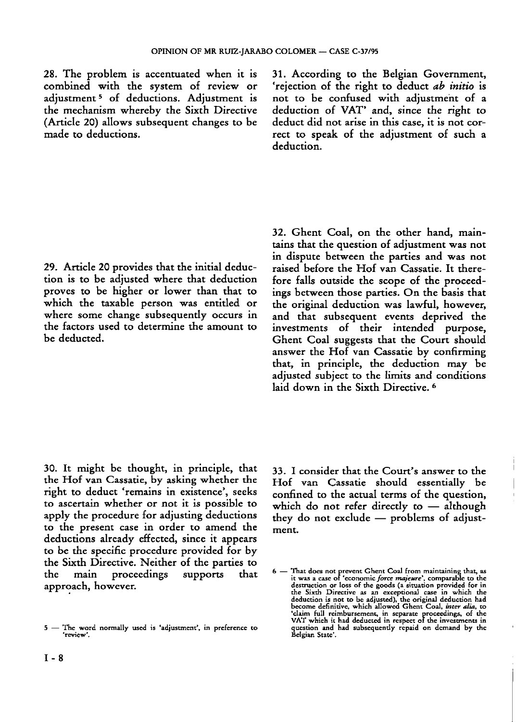28. The problem is accentuated when it is combined with the system of review or adjustment 5 of deductions. Adjustment is the mechanism whereby the Sixth Directive (Article 20) allows subsequent changes to be made to deductions.

31. According to the Belgian Government, 'rejection of the right to deduct *ab initio* is not to be confused with adjustment of a deduction of VAT' and, since the right to deduct did not arise in this case, it is not correct to speak of the adjustment of such a deduction.

29. Article 20 provides that the initial deduction is to be adjusted where that deduction proves to be higher or lower than that to which the taxable person was entitled or where some change subsequently occurs in the factors used to determine the amount to be deducted.

32. Ghent Coal, on the other hand, maintains that the question of adjustment was not in dispute between the parties and was not raised before the Hof van Cassatie. It therefore falls outside the scope of the proceedings between those parties. On the basis that the original deduction was lawful, however, and that subsequent events deprived the investments of their intended purpose, Ghent Coal suggests that the Court should answer the Hof van Cassatie by confirming that, in principle, the deduction may be adjusted subject to the limits and conditions laid down in the Sixth Directive.

30. It might be thought, in principle, that the Hof van Cassatie, by asking whether the right to deduct 'remains in existence', seeks to ascertain whether or not it is possible to apply the procedure for adjusting deductions to the present case in order to amend the deductions already effected, since it appears to be the specific procedure provided for by the Sixth Directive. Neither of the parties to the main proceedings supports that approach, however.

33. I consider that the Court's answer to the Hof van Cassatie should essentially be confined to the actual terms of the question, which do not refer directly to - although they do not exclude — problems of adjustment.

**<sup>5</sup> — The word normally used is 'adjustment', in preference to 'review'.**

 $6$  — That does not prevent Ghent Coal from maintaining that, as<br>it was a case of 'economic force magieure', comparable to the<br>destruction or loss of the goods (a situation provided for it<br>the Sixth Directive as an except 'claim full reimbursement, in separate proceedings, of the<br>VAT which it had deducted in respect of the investments in **question and had subsequently repaid on demand by the Belgian State'.**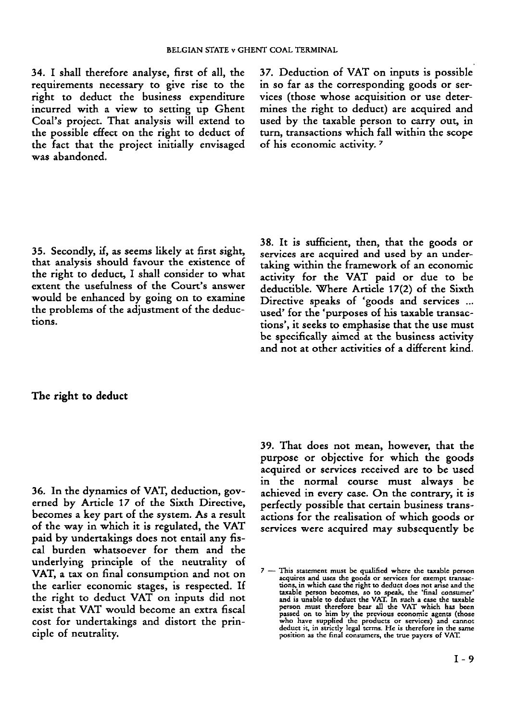34. I shall therefore analyse, first of all, the requirements necessary to give rise to the right to deduct the business expenditure incurred with a view to setting up Ghent Coal's project. That analysis will extend to the possible effect on the right to deduct of the fact that the project initially envisaged was abandoned.

37. Deduction of VAT on inputs is possible in so far as the corresponding goods or services (those whose acquisition or use determines the right to deduct) are acquired and used by the taxable person to carry out, in turn, transactions which fall within the scope of his economic activity. 7

35. Secondly, if, as seems likely at first sight, that analysis should favour the existence of the right to deduct, I shall consider to what extent the usefulness of the Court's answer would be enhanced by going on to examine the problems of the adjustment of the deductions.

38. It is sufficient, then, that the goods or services are acquired and used by an undertaking within the framework of an economic activity for the VAT paid or due to be deductible. Where Article 17(2) of the Sixth Directive speaks of 'goods and services ... used' for the 'purposes of his taxable transactions', it seeks to emphasise that the use must be specifically aimed at the business activity and not at other activities of a different kind.

## **The right to deduct**

36. In the dynamics of VAT, deduction, governed by Article 17 of the Sixth Directive, becomes a key part of the system. As a result of the way in which it is regulated, the VAT paid by undertakings does not entail any fiscal burden whatsoever for them and the underlying principle of the neutrality of VAT, a tax on final consumption and not on the earlier economic stages, is respected. If the right to deduct VAT on inputs did not exist that VAT would become an extra fiscal cost for undertakings and distort the principle of neutrality.

39. That does not mean, however, that the purpose or objective for which the goods acquired or services received are to be used in the normal course must always be achieved in every case. On the contrary, it is perfectly possible that certain business transactions for the realisation of which goods or services were acquired may subsequently be

**<sup>7</sup> — This statement must be qualified where the taxable person** acquires and uses the goods or services for exempt transactions, in which case the right to deduct does not arise and the taxable person becomes, so to speak, the "final consumer" and is unable to deduct the VAT. In such a passed on to him by the previous economic agents (those<br>who have supplied the products or services) and cannot<br>deduct it, in strictly legal terms. He is therefore in the same **position as the final consumers, the true payers of VAT.**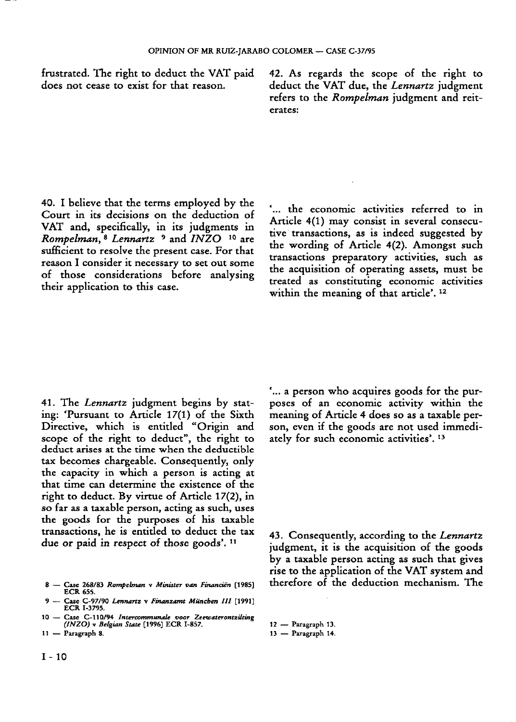frustrated. The right to deduct the VAT paid does not cease to exist for that reason.

42. As regards the scope of the right to deduct the VAT due, the *Lennartz* judgment refers to the *Rompelman* judgment and reiterates:

40. I believe that the terms employed by the Court in its decisions on the deduction of VAT and, specifically, in its judgments in *Rompelman,* 8 *Lennartz* <sup>9</sup> and *INZO* <sup>10</sup> are sufficient to resolve the present case. For that reason I consider it necessary to set out some of those considerations before analysing their application to this case.

'... the economic activities referred to in Article 4(1) may consist in several consecutive transactions, as is indeed suggested by the wording of Article 4(2). Amongst such transactions preparatory activities, such as the acquisition of operating assets, must be treated as constituting economic activities within the meaning of that article'. 12

41. The *Lennartz* judgment begins by stating: 'Pursuant to Article 17(1) of the Sixth Directive, which is entitled "Origin and scope of the right to deduct", the right to deduct arises at the time when the deductible tax becomes chargeable. Consequently, only the capacity in which a person is acting at that time can determine the existence of the right to deduct. By virtue of Article 17(2), in so far as a taxable person, acting as such, uses the goods for the purposes of his taxable transactions, he is entitled to deduct the tax due or paid in respect of those goods'.<sup>11</sup>

- 8 Case 268/83 *Rompelman* v *Minister van Financiën* [1985] ECR 655.
- 9 Case C-97/90 *Lennartz* v *Finanzamt München III* [1991]
- ECR 1-3795. 10 Case C-110/94 *Intercommunale voor Zeewaterontzilting (INZO)* v *Belgian State* [1996] ECR I-857.
- 11 Paragraph 8.

'... a person who acquires goods for the purposes of an economic activity within the meaning of Article 4 does so as a taxable person, even if the goods are not used immediately for such economic activities'. 13

43. Consequently, according to the *Lennartz* judgment, it is the acquisition of the goods by a taxable person acting as such that gives rise to the application of the VAT system and therefore of the deduction mechanism. The

13 — Paragraph 14.

<sup>12</sup> — Paragraph 13.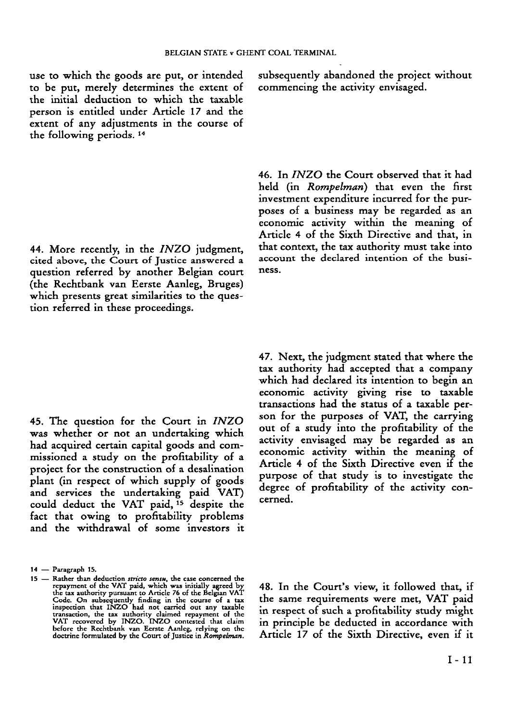use to which the goods are put, or intended to be put, merely determines the extent of the initial deduction to which the taxable person is entitled under Article 17 and the extent of any adjustments in the course of the following periods. 14

44. More recently, in the *INZO* judgment, cited above, the Court of Justice answered a question referred by another Belgian court (the Rechtbank van Eerste Aanleg, Bruges) which presents great similarities to the question referred in these proceedings.

45. The question for the Court in *INZO* was whether or not an undertaking which had acquired certain capital goods and commissioned a study on the profitability of a project for the construction of a desalination plant (in respect of which supply of goods and services the undertaking paid VAT) could deduct the VAT paid, <sup>15</sup> despite the fact that owing to profitability problems and the withdrawal of some investors it subsequently abandoned the project without commencing the activity envisaged.

46. In *INZO* the Court observed that it had held (in *Rompelman)* that even the first investment expenditure incurred for the purposes of a business may be regarded as an economic activity within the meaning of Article 4 of the Sixth Directive and that, in that context, the tax authority must take into account the declared intention of the business.

47. Next, the judgment stated that where the tax authority had accepted that a company which had declared its intention to begin an economic activity giving rise to taxable transactions had the status of a taxable person for the purposes of VAT, the carrying out of a study into the profitability of the activity envisaged may be regarded as an economic activity within the meaning of Article 4 of the Sixth Directive even if the purpose of that study is to investigate the degree of profitability of the activity concerned.

48. In the Court's view, it followed that, if the same requirements were met, VAT paid in respect of such a profitability study might in principle be deducted in accordance with Article 17 of the Sixth Directive, even if it

**<sup>14</sup> — Paragraph 15.**

<sup>15 —</sup> Rather than deduction *stricto sensu*, the case concerned the repayment of the VAT paid, which was initially agreed by<br>the tax authority pursuant to Article 76 of the Belgian VAT Code. On subsequently finding in the course of a tax<br>inspection that INZO had not carried out any taxable<br>transaction, the tax authority claimed repayment of the<br>VAT recovered by INZO. INZO contested that claim<br>before the **doctrine formulated by the Court of Justice in** *Rompelman.*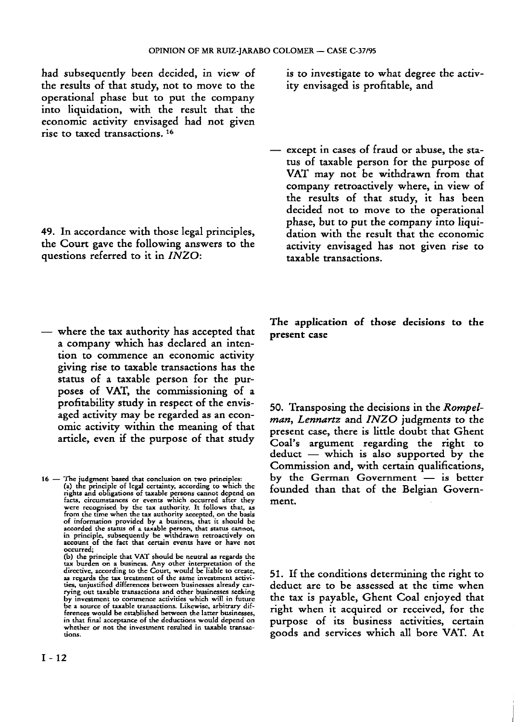had subsequently been decided, in view of the results of that study, not to move to the operational phase but to put the company into liquidation, with the result that the economic activity envisaged had not given rise to taxed transactions. 16

49. In accordance with those legal principles, the Court gave the following answers to the questions referred to it in *INZO:*

— where the tax authority has accepted that a company which has declared an intention to commence an economic activity giving rise to taxable transactions has the status of a taxable person for the purposes of VAT, the commissioning of a profitability study in respect of the envisaged activity may be regarded as an economic activity within the meaning of that article, even if the purpose of that study

**16 — The judgment based that conclusion on two principles:** (a) the principle of legal certainty, according to which the<br>rights and obligations of taxable persons cannot depend on<br>facts, circumstances or events which occurred after they were recognised by the tax authority. It follows that, as<br>from the time when the tax authority accepted, on the basis of information provided by a business, that it should be<br>accorded the status of a taxable person, that status cannot,<br>in principle, subsequently be withdrawn retroactively on<br>account of the fact that certain events have or **occurred;**

> **(b) the principle that VAT should be neutral as regards the** tax burden on a business. Any other interpretation of the<br>directive, according to the Court, would be liable to create,<br>as regards the tax treatment of the same investment activi**ties, unjustified differences between businesses already carrying out taxable transactions and other businesses seeking by investment to commence activities which will in future be a source of taxable transactions. Likewise, arbitrary differences would be established between the latter businesses, in that final acceptance of the deductions would depend on whether or not the investment resulted in taxable transactions.**

is to investigate to what degree the activity envisaged is profitable, and

— except in cases of fraud or abuse, the status of taxable person for the purpose of VAT may not be withdrawn from that company retroactively where, in view of the results of that study, it has been decided not to move to the operational phase, but to put the company into liquidation with the result that the economic activity envisaged has not given rise to taxable transactions.

**The application of those decisions to the present case**

50. Transposing the decisions in the *Rompelman, Lennartz* and *INZO* judgments to the present case, there is little doubt that Ghent Coal's argument regarding the right to deduct — which is also supported by the Commission and, with certain qualifications, by the German Government — is better founded than that of the Belgian Government.

51. If the conditions determining the right to deduct are to be assessed at the time when the tax is payable, Ghent Coal enjoyed that right when it acquired or received, for the purpose of its business activities, certain goods and services which all bore VAT. At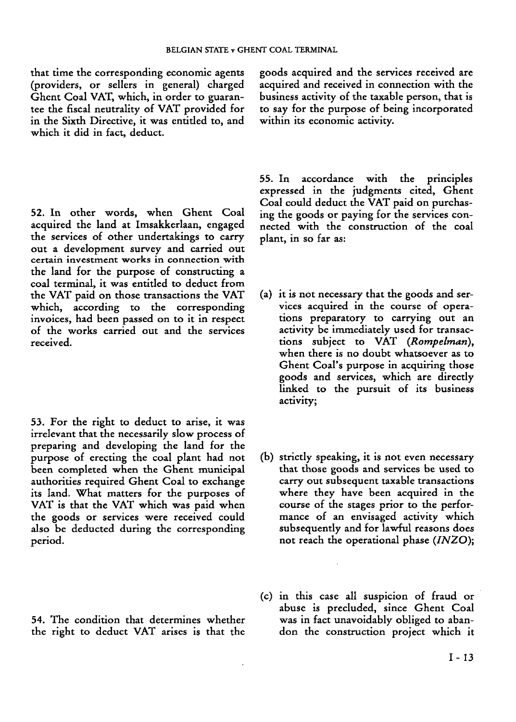that time the corresponding economic agents (providers, or sellers in general) charged Ghent Coal VAT, which, in order to guarantee the fiscal neutrality of VAT provided for in the Sixth Directive, it was entided to, and which it did in fact, deduct.

52. In other words, when Ghent Coal acquired the land at Imsakkerlaan, engaged the services of other undertakings to carry out a development survey and carried out certain investment works in connection with the land for the purpose of constructing a coal terminal, it was entitled to deduct from the VAT paid on those transactions the VAT which, according to the corresponding invoices, had been passed on to it in respect of the works carried out and the services received.

53. For the right to deduct to arise, it was irrelevant that the necessarily slow process of preparing and developing the land for the purpose of erecting the coal plant had not been completed when the Ghent municipal authorities required Ghent Coal to exchange its land. What matters for the purposes of VAT is that the VAT which was paid when the goods or services were received could also be deducted during the corresponding period.

54. The condition that determines whether the right to deduct VAT arises is that the

goods acquired and the services received are acquired and received in connection with the business activity of the taxable person, that is to say for the purpose of being incorporated within its economic activity.

55. In accordance with the principles expressed in the judgments cited, Ghent Coal could deduct the VAT paid on purchasing the goods or paying for the services connected with the construction of the coal plant, in so far as:

- (a) it is not necessary that the goods and services acquired in the course of operations preparatory to carrying out an activity be immediately used for transactions subject to VAT *(Rompelman),* when there is no doubt whatsoever as to Ghent Coal's purpose in acquiring those goods and services, which are directly linked to the pursuit of its business activity;
- (b) strictly speaking, it is not even necessary that those goods and services be used to carry out subsequent taxable transactions where they have been acquired in the course of the stages prior to the performance of an envisaged activity which subsequently and for lawful reasons does not reach the operational phase *(INZO);*
- (c) in this case all suspicion of fraud or abuse is precluded, since Ghent Coal was in fact unavoidably obliged to abandon the construction project which it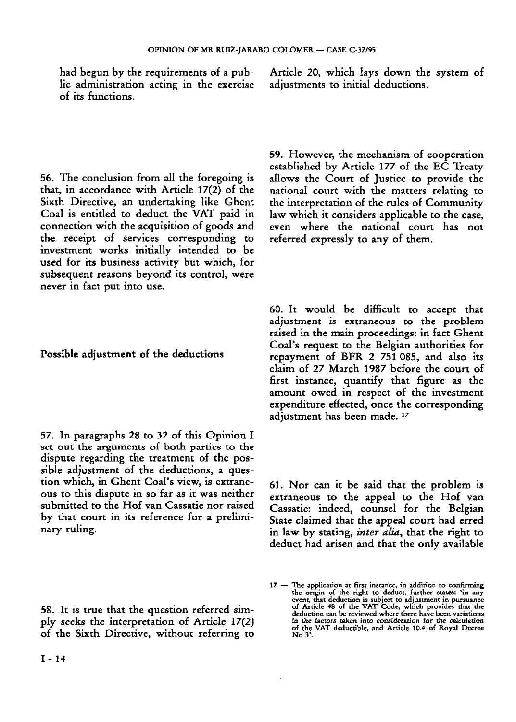had begun by the requirements of a public administration acting in the exercise of its functions.

56. The conclusion from all the foregoing is that, in accordance with Article 17(2) of the Sixth Directive, an undertaking like Ghent Coal is entitled to deduct the VAT paid in connection with the acquisition of goods and the receipt of services corresponding to investment works initially intended to be used for its business activity but which, for subsequent reasons beyond its control, were never in fact put into use.

**Possible adjustment of the deductions**

57. In paragraphs 28 to 32 of this Opinion I set out the arguments of both parties to the dispute regarding the treatment of the possible adjustment of the deductions, a question which, in Ghent Coal's view, is extraneous to this dispute in so far as it was neither submitted to the Hof van Cassatie nor raised by that court in its reference for a preliminary ruling.

58. It is true that the question referred simply seeks the interpretation of Article 17(2) of the Sixth Directive, without referring to Article 20, which lays down the system of adjustments to initial deductions.

59. However, the mechanism of cooperation established by Article 177 of the EC Treaty allows the Court of Justice to provide the national court with the matters relating to the interpretation of the rules of Community law which it considers applicable to the case, even where the national court has not referred expressly to any of them.

60. It would be difficult to accept that adjustment is extraneous to the problem raised in the main proceedings: in fact Ghent Coal's request to the Belgian authorities for repayment of BFR 2 751 085, and also its claim of 27 March 1987 before the court of first instance, quantify that figure as the amount owed in respect of the investment expenditure effected, once the corresponding adjustment has been made.<sup>17</sup>

61. Nor can it be said that the problem is extraneous to the appeal to the Hof van Cassatie: indeed, counsel for the Belgian State claimed that the appeal court had erred in law by stating, *inter alia,* that the right to deduct had arisen and that the only available

<sup>17</sup> — The application at first instance, in addition to confirming the origin of the right to deduct, further states: 'in any event, that deduction is subject to adjustment in pursuance of Article 48 of the VAT Code, which provides that the deduction can be reviewed where there have been variations in the factors taken into consideration for the calculation of the VAT deductible, and Article 10.4 of Royal Decree No 3'.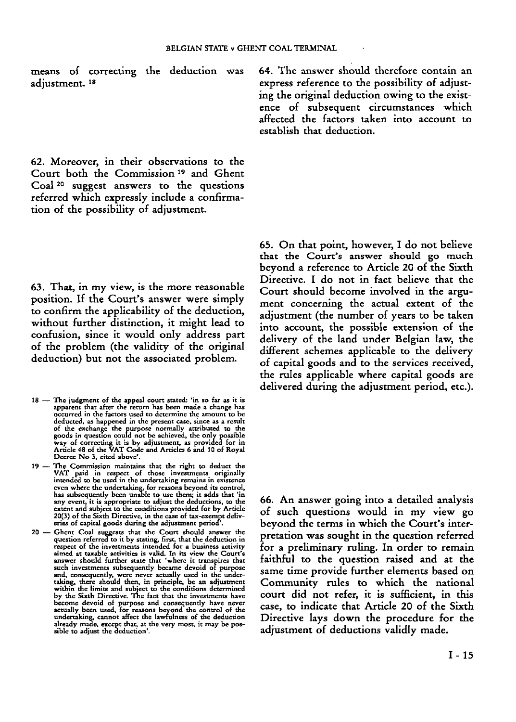means of correcting the deduction was adjustment. 18

62. Moreover, in their observations to the Court both the Commission <sup>19</sup> and Ghent Coal <sup>20</sup> suggest answers to the questions referred which expressly include a confirmation of the possibility of adjustment.

63. That, in my view, is the more reasonable position. If the Court's answer were simply to confirm the applicability of the deduction, without further distinction, it might lead to confusion, since it would only address part of the problem (the validity of the original deduction) but not the associated problem.

- **18 — The judgment of the appeal court stated: 'in so far as it is apparent that after the return has been made a change has occurred in the factors used to determine the amount to be deducted, as happened in the present case, since as a result** of the exchange the purpose normally attributed to the<br>goods in question could not be achieved, the only possible<br>way of correcting it is by adjustment, as provided for in<br>Article 48 of the VAT Code and Articles 6 and 10 o **Decree No 3, cited above'.**
- 19 The Commission maintains that the right to deduct the<br>VAT paid in respect of those investments originally<br>intended to be used in the undertaking remains in existence even where the undertaking, for reasons beyond its control,<br>has subsequently been unable to use them; it adds that 'in<br>any event, it is appropriate to adjust the deductions, to the<br>extent and subject to the conditions prov 20(3) of the Sixth Directive, in the case of tax-exempt deliv-<br>eries of capital goods during the adjustment period
- 20 Ghent Coal suggests that the Court should answer the question referred to it by stating, first, that the deduction in **respect of the investments intended for a business activity** aimed at taxable activities is valid. In its view the Court's<br>answer should further state that 'where it transpires that **such investments subsequently became devoid of purpose** and, consequently, were never actually used in the under-<br>taking, there should then, in principle, be an adjustment within the limits and subject to the conditions determined<br>by the Sixth Directive. The fact that the investments have become devoid of purpose and consequently have never<br>actually been used, for reasons beyond the control of the<br>undertaking, cannot affect the lawfulness of the deduction<br>already made, except that, at the very most, it may

64. The answer should therefore contain an express reference to the possibility of adjusting the original deduction owing to the existence of subsequent circumstances which affected the factors taken into account to establish that deduction.

65. On that point, however, I do not believe that the Court's answer should go much beyond a reference to Article 20 of the Sixth Directive. I do not in fact believe that the Court should become involved in the argument concerning the actual extent of the adjustment (the number of years to be taken into account, the possible extension of the delivery of the land under Belgian law, the different schemes applicable to the delivery of capital goods and to the services received, the rules applicable where capital goods are delivered during the adjustment period, etc.).

66. An answer going into a detailed analysis of such questions would in my view go beyond the terms in which the Court's interpretation was sought in the question referred for a preliminary ruling. In order to remain faithful to the question raised and at the same time provide further elements based on Community rules to which the national court did not refer, it is sufficient, in this case, to indicate that Article 20 of the Sixth Directive lays down the procedure for the adjustment of deductions validly made.